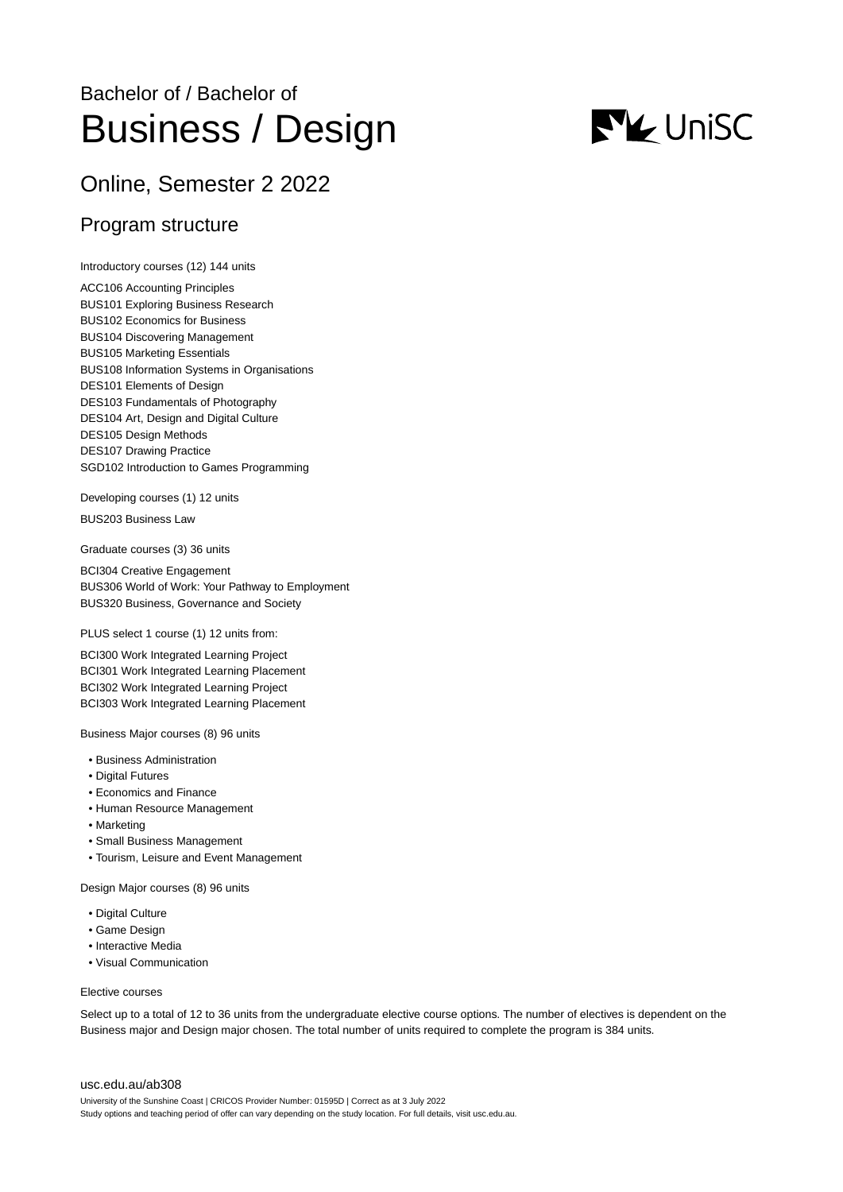# Bachelor of / Bachelor of Business / Design



# Online, Semester 2 2022

## Program structure

Introductory courses (12) 144 units

ACC106 Accounting Principles BUS101 Exploring Business Research BUS102 Economics for Business BUS104 Discovering Management BUS105 Marketing Essentials BUS108 Information Systems in Organisations DES101 Elements of Design DES103 Fundamentals of Photography DES104 Art, Design and Digital Culture DES105 Design Methods DES107 Drawing Practice SGD102 Introduction to Games Programming

Developing courses (1) 12 units

BUS203 Business Law

Graduate courses (3) 36 units

BCI304 Creative Engagement BUS306 World of Work: Your Pathway to Employment BUS320 Business, Governance and Society

PLUS select 1 course (1) 12 units from:

BCI300 Work Integrated Learning Project BCI301 Work Integrated Learning Placement BCI302 Work Integrated Learning Project BCI303 Work Integrated Learning Placement

Business Major courses (8) 96 units

- Business Administration
- Digital Futures
- Economics and Finance
- Human Resource Management
- Marketing
- Small Business Management
- Tourism, Leisure and Event Management

Design Major courses (8) 96 units

- Digital Culture
- Game Design
- Interactive Media
- Visual Communication

#### Elective courses

Select up to a total of 12 to 36 units from the undergraduate elective course options. The number of electives is dependent on the Business major and Design major chosen. The total number of units required to complete the program is 384 units.

### [usc.edu.au/ab308](https://www.usc.edu.au/ab308)

University of the Sunshine Coast | CRICOS Provider Number: 01595D | Correct as at 3 July 2022 Study options and teaching period of offer can vary depending on the study location. For full details, visit usc.edu.au.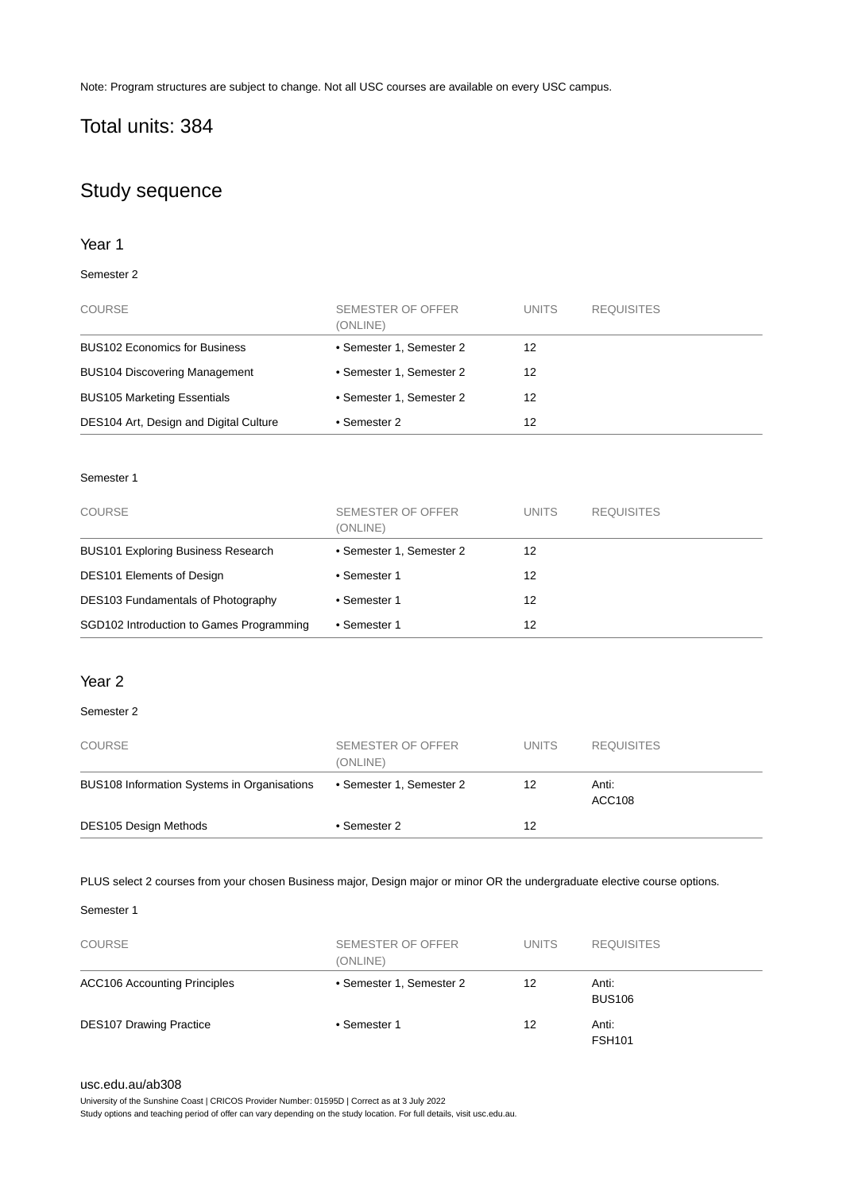Note: Program structures are subject to change. Not all USC courses are available on every USC campus.

# Total units: 384

# Study sequence

### Year 1

### Semester 2

| <b>COURSE</b>                          | SEMESTER OF OFFER<br>(ONLINE) | <b>UNITS</b> | <b>REQUISITES</b> |
|----------------------------------------|-------------------------------|--------------|-------------------|
| <b>BUS102 Economics for Business</b>   | • Semester 1, Semester 2      | 12           |                   |
| <b>BUS104 Discovering Management</b>   | • Semester 1, Semester 2      | 12           |                   |
| <b>BUS105 Marketing Essentials</b>     | • Semester 1, Semester 2      | 12           |                   |
| DES104 Art, Design and Digital Culture | • Semester 2                  | 12           |                   |

### Semester 1

| <b>COURSE</b>                             | SEMESTER OF OFFER<br>(ONLINE) | <b>UNITS</b> | <b>REQUISITES</b> |
|-------------------------------------------|-------------------------------|--------------|-------------------|
| <b>BUS101 Exploring Business Research</b> | • Semester 1, Semester 2      | 12           |                   |
| <b>DES101 Elements of Design</b>          | • Semester 1                  | 12           |                   |
| DES103 Fundamentals of Photography        | • Semester 1                  | 12           |                   |
| SGD102 Introduction to Games Programming  | • Semester 1                  | 12           |                   |

### Year 2

### Semester 2

| <b>COURSE</b>                               | SEMESTER OF OFFER<br>(ONLINE) | <b>UNITS</b> | <b>REQUISITES</b>      |
|---------------------------------------------|-------------------------------|--------------|------------------------|
| BUS108 Information Systems in Organisations | • Semester 1, Semester 2      | 12           | Anti:<br><b>ACC108</b> |
| <b>DES105 Design Methods</b>                | • Semester 2                  | 12           |                        |

PLUS select 2 courses from your chosen Business major, Design major or minor OR the undergraduate elective course options.

### Semester 1

| <b>COURSE</b>                       | SEMESTER OF OFFER<br>(ONLINE) | <b>UNITS</b> | <b>REQUISITES</b>      |  |
|-------------------------------------|-------------------------------|--------------|------------------------|--|
| <b>ACC106 Accounting Principles</b> | • Semester 1, Semester 2      | 12           | Anti:<br><b>BUS106</b> |  |
| <b>DES107 Drawing Practice</b>      | • Semester 1                  | 12           | Anti:<br><b>FSH101</b> |  |

### [usc.edu.au/ab308](https://www.usc.edu.au/ab308)

University of the Sunshine Coast | CRICOS Provider Number: 01595D | Correct as at 3 July 2022

Study options and teaching period of offer can vary depending on the study location. For full details, visit usc.edu.au.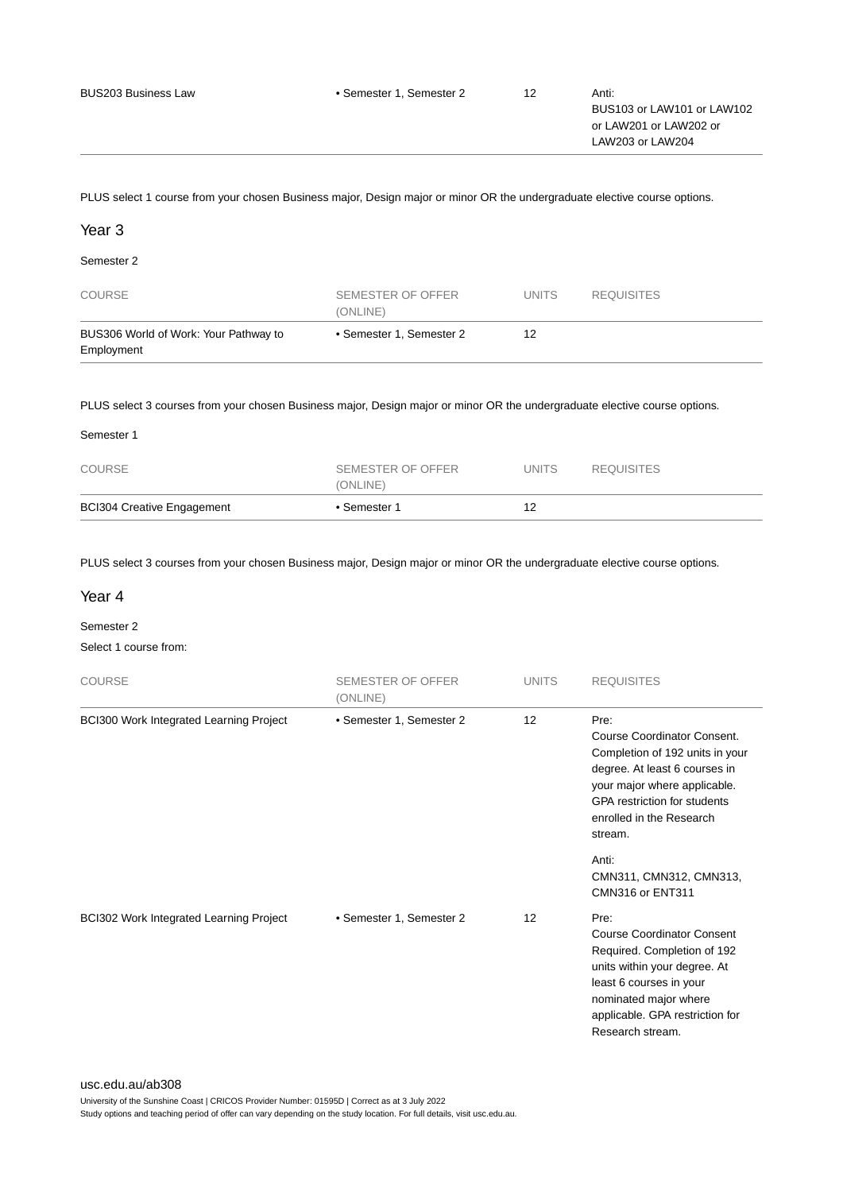or LAW201 or LAW202 or LAW203 or LAW204

PLUS select 1 course from your chosen Business major, Design major or minor OR the undergraduate elective course options.

### Year 3

Semester 2

| <b>COURSE</b>                                       | SEMESTER OF OFFER<br>(ONLINE) | <b>UNITS</b> | <b>REQUISITES</b> |
|-----------------------------------------------------|-------------------------------|--------------|-------------------|
| BUS306 World of Work: Your Pathway to<br>Employment | • Semester 1. Semester 2      | 12           |                   |

PLUS select 3 courses from your chosen Business major, Design major or minor OR the undergraduate elective course options.

| <b>BCI304 Creative Engagement</b> | • Semester 1                  | 12           |                   |  |
|-----------------------------------|-------------------------------|--------------|-------------------|--|
| <b>COURSE</b>                     | SEMESTER OF OFFER<br>(ONLINE) | <b>UNITS</b> | <b>REQUISITES</b> |  |
| Semester 1                        |                               |              |                   |  |

PLUS select 3 courses from your chosen Business major, Design major or minor OR the undergraduate elective course options.

### Year 4

Semester 2

Select 1 course from:

| <b>COURSE</b>                                  | <b>SEMESTER OF OFFER</b><br>(ONLINE) | <b>UNITS</b> | <b>REQUISITES</b>                                                                                                                                                                                                     |
|------------------------------------------------|--------------------------------------|--------------|-----------------------------------------------------------------------------------------------------------------------------------------------------------------------------------------------------------------------|
| <b>BCI300 Work Integrated Learning Project</b> | • Semester 1, Semester 2             | 12           | Pre:<br>Course Coordinator Consent.<br>Completion of 192 units in your<br>degree. At least 6 courses in<br>your major where applicable.<br><b>GPA restriction for students</b><br>enrolled in the Research<br>stream. |
|                                                |                                      |              | Anti:<br>CMN311, CMN312, CMN313,<br>CMN316 or ENT311                                                                                                                                                                  |
| <b>BCI302 Work Integrated Learning Project</b> | • Semester 1, Semester 2             | 12           | Pre:<br><b>Course Coordinator Consent</b><br>Required. Completion of 192<br>units within your degree. At<br>least 6 courses in your<br>nominated major where<br>applicable. GPA restriction for<br>Research stream.   |